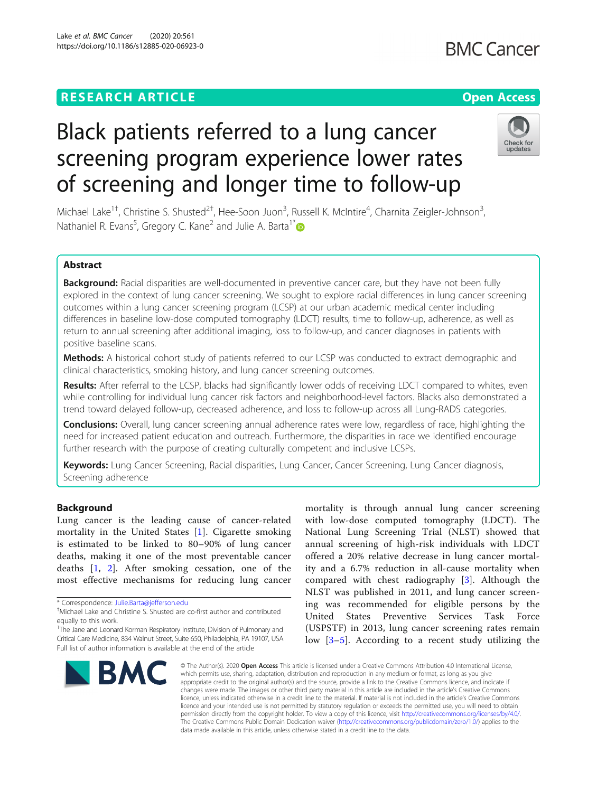## **RESEARCH ARTICLE Example 2014 12:30 The Contract of Contract ACCESS**

# Black patients referred to a lung cancer screening program experience lower rates of screening and longer time to follow-up

Michael Lake<sup>1†</sup>, Christine S. Shusted<sup>2†</sup>, Hee-Soon Juon<sup>3</sup>, Russell K. McIntire<sup>4</sup>, Charnita Zeigler-Johnson<sup>3</sup> , Nathaniel R. Evans<sup>5</sup>, Gregory C. Kane<sup>2</sup> and Julie A. Barta<sup>1[\\*](http://orcid.org/0000-0001-6480-0769)</sup>

## Abstract

Background: Racial disparities are well-documented in preventive cancer care, but they have not been fully explored in the context of lung cancer screening. We sought to explore racial differences in lung cancer screening outcomes within a lung cancer screening program (LCSP) at our urban academic medical center including differences in baseline low-dose computed tomography (LDCT) results, time to follow-up, adherence, as well as return to annual screening after additional imaging, loss to follow-up, and cancer diagnoses in patients with positive baseline scans.

**Methods:** A historical cohort study of patients referred to our LCSP was conducted to extract demographic and clinical characteristics, smoking history, and lung cancer screening outcomes.

Results: After referral to the LCSP, blacks had significantly lower odds of receiving LDCT compared to whites, even while controlling for individual lung cancer risk factors and neighborhood-level factors. Blacks also demonstrated a trend toward delayed follow-up, decreased adherence, and loss to follow-up across all Lung-RADS categories.

**Conclusions:** Overall, lung cancer screening annual adherence rates were low, regardless of race, highlighting the need for increased patient education and outreach. Furthermore, the disparities in race we identified encourage further research with the purpose of creating culturally competent and inclusive LCSPs.

Keywords: Lung Cancer Screening, Racial disparities, Lung Cancer, Cancer Screening, Lung Cancer diagnosis, Screening adherence

## Background

Lung cancer is the leading cause of cancer-related mortality in the United States [[1\]](#page-10-0). Cigarette smoking is estimated to be linked to 80–90% of lung cancer deaths, making it one of the most preventable cancer deaths [\[1](#page-10-0), [2](#page-10-0)]. After smoking cessation, one of the most effective mechanisms for reducing lung cancer

\* Correspondence: [Julie.Barta@jefferson.edu](mailto:Julie.Barta@jefferson.edu) †



mortality is through annual lung cancer screening with low-dose computed tomography (LDCT). The National Lung Screening Trial (NLST) showed that annual screening of high-risk individuals with LDCT offered a 20% relative decrease in lung cancer mortality and a 6.7% reduction in all-cause mortality when compared with chest radiography [\[3](#page-10-0)]. Although the NLST was published in 2011, and lung cancer screening was recommended for eligible persons by the United States Preventive Services Task Force (USPSTF) in 2013, lung cancer screening rates remain low [\[3](#page-10-0)–[5](#page-10-0)]. According to a recent study utilizing the

© The Author(s), 2020 **Open Access** This article is licensed under a Creative Commons Attribution 4.0 International License, which permits use, sharing, adaptation, distribution and reproduction in any medium or format, as long as you give appropriate credit to the original author(s) and the source, provide a link to the Creative Commons licence, and indicate if changes were made. The images or other third party material in this article are included in the article's Creative Commons licence, unless indicated otherwise in a credit line to the material. If material is not included in the article's Creative Commons licence and your intended use is not permitted by statutory regulation or exceeds the permitted use, you will need to obtain permission directly from the copyright holder. To view a copy of this licence, visit [http://creativecommons.org/licenses/by/4.0/.](http://creativecommons.org/licenses/by/4.0/) The Creative Commons Public Domain Dedication waiver [\(http://creativecommons.org/publicdomain/zero/1.0/](http://creativecommons.org/publicdomain/zero/1.0/)) applies to the data made available in this article, unless otherwise stated in a credit line to the data.



Michael Lake and Christine S. Shusted are co-first author and contributed equally to this work.

<sup>&</sup>lt;sup>1</sup>The Jane and Leonard Korman Respiratory Institute, Division of Pulmonary and Critical Care Medicine, 834 Walnut Street, Suite 650, Philadelphia, PA 19107, USA Full list of author information is available at the end of the article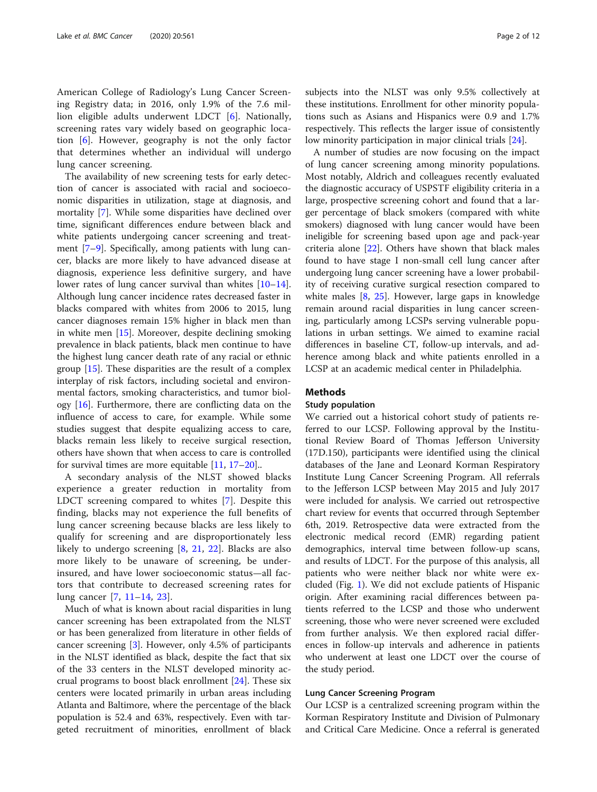American College of Radiology's Lung Cancer Screening Registry data; in 2016, only 1.9% of the 7.6 million eligible adults underwent LDCT [\[6](#page-10-0)]. Nationally, screening rates vary widely based on geographic location [\[6](#page-10-0)]. However, geography is not the only factor that determines whether an individual will undergo lung cancer screening.

The availability of new screening tests for early detection of cancer is associated with racial and socioeconomic disparities in utilization, stage at diagnosis, and mortality [[7\]](#page-10-0). While some disparities have declined over time, significant differences endure between black and white patients undergoing cancer screening and treatment [[7](#page-10-0)–[9\]](#page-11-0). Specifically, among patients with lung cancer, blacks are more likely to have advanced disease at diagnosis, experience less definitive surgery, and have lower rates of lung cancer survival than whites [[10](#page-11-0)–[14](#page-11-0)]. Although lung cancer incidence rates decreased faster in blacks compared with whites from 2006 to 2015, lung cancer diagnoses remain 15% higher in black men than in white men [[15](#page-11-0)]. Moreover, despite declining smoking prevalence in black patients, black men continue to have the highest lung cancer death rate of any racial or ethnic group [\[15](#page-11-0)]. These disparities are the result of a complex interplay of risk factors, including societal and environmental factors, smoking characteristics, and tumor biology [[16\]](#page-11-0). Furthermore, there are conflicting data on the influence of access to care, for example. While some studies suggest that despite equalizing access to care, blacks remain less likely to receive surgical resection, others have shown that when access to care is controlled for survival times are more equitable [[11](#page-11-0), [17](#page-11-0)–[20\]](#page-11-0)..

A secondary analysis of the NLST showed blacks experience a greater reduction in mortality from LDCT screening compared to whites [[7\]](#page-10-0). Despite this finding, blacks may not experience the full benefits of lung cancer screening because blacks are less likely to qualify for screening and are disproportionately less likely to undergo screening [\[8](#page-10-0), [21,](#page-11-0) [22\]](#page-11-0). Blacks are also more likely to be unaware of screening, be underinsured, and have lower socioeconomic status—all factors that contribute to decreased screening rates for lung cancer [\[7](#page-10-0), [11](#page-11-0)–[14,](#page-11-0) [23\]](#page-11-0).

Much of what is known about racial disparities in lung cancer screening has been extrapolated from the NLST or has been generalized from literature in other fields of cancer screening [\[3](#page-10-0)]. However, only 4.5% of participants in the NLST identified as black, despite the fact that six of the 33 centers in the NLST developed minority accrual programs to boost black enrollment [[24\]](#page-11-0). These six centers were located primarily in urban areas including Atlanta and Baltimore, where the percentage of the black population is 52.4 and 63%, respectively. Even with targeted recruitment of minorities, enrollment of black subjects into the NLST was only 9.5% collectively at these institutions. Enrollment for other minority populations such as Asians and Hispanics were 0.9 and 1.7% respectively. This reflects the larger issue of consistently low minority participation in major clinical trials [[24](#page-11-0)].

A number of studies are now focusing on the impact of lung cancer screening among minority populations. Most notably, Aldrich and colleagues recently evaluated the diagnostic accuracy of USPSTF eligibility criteria in a large, prospective screening cohort and found that a larger percentage of black smokers (compared with white smokers) diagnosed with lung cancer would have been ineligible for screening based upon age and pack-year criteria alone [\[22](#page-11-0)]. Others have shown that black males found to have stage I non-small cell lung cancer after undergoing lung cancer screening have a lower probability of receiving curative surgical resection compared to white males [\[8](#page-10-0), [25](#page-11-0)]. However, large gaps in knowledge remain around racial disparities in lung cancer screening, particularly among LCSPs serving vulnerable populations in urban settings. We aimed to examine racial differences in baseline CT, follow-up intervals, and adherence among black and white patients enrolled in a LCSP at an academic medical center in Philadelphia.

## Methods

## Study population

We carried out a historical cohort study of patients referred to our LCSP. Following approval by the Institutional Review Board of Thomas Jefferson University (17D.150), participants were identified using the clinical databases of the Jane and Leonard Korman Respiratory Institute Lung Cancer Screening Program. All referrals to the Jefferson LCSP between May 2015 and July 2017 were included for analysis. We carried out retrospective chart review for events that occurred through September 6th, 2019. Retrospective data were extracted from the electronic medical record (EMR) regarding patient demographics, interval time between follow-up scans, and results of LDCT. For the purpose of this analysis, all patients who were neither black nor white were excluded (Fig. [1](#page-2-0)). We did not exclude patients of Hispanic origin. After examining racial differences between patients referred to the LCSP and those who underwent screening, those who were never screened were excluded from further analysis. We then explored racial differences in follow-up intervals and adherence in patients who underwent at least one LDCT over the course of the study period.

## Lung Cancer Screening Program

Our LCSP is a centralized screening program within the Korman Respiratory Institute and Division of Pulmonary and Critical Care Medicine. Once a referral is generated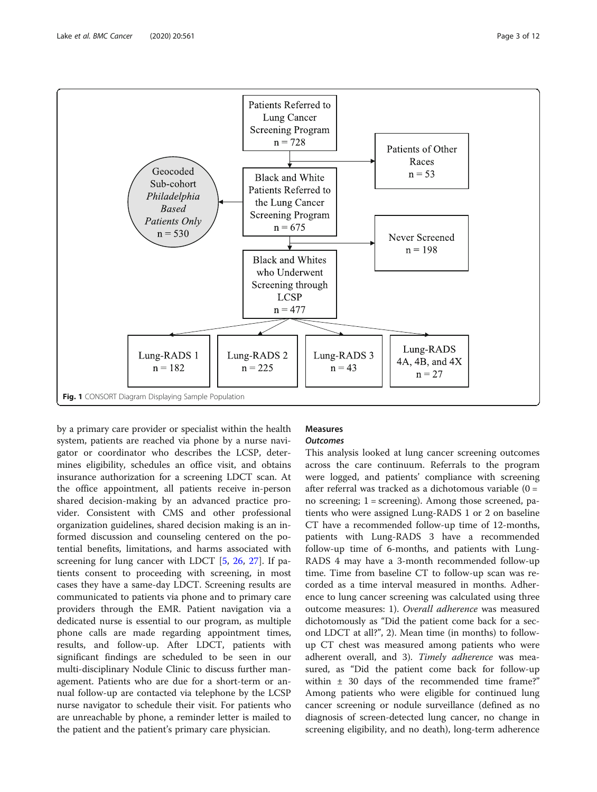<span id="page-2-0"></span>

by a primary care provider or specialist within the health system, patients are reached via phone by a nurse navigator or coordinator who describes the LCSP, determines eligibility, schedules an office visit, and obtains insurance authorization for a screening LDCT scan. At the office appointment, all patients receive in-person shared decision-making by an advanced practice provider. Consistent with CMS and other professional organization guidelines, shared decision making is an informed discussion and counseling centered on the potential benefits, limitations, and harms associated with screening for lung cancer with LDCT [[5,](#page-10-0) [26](#page-11-0), [27](#page-11-0)]. If patients consent to proceeding with screening, in most cases they have a same-day LDCT. Screening results are communicated to patients via phone and to primary care providers through the EMR. Patient navigation via a dedicated nurse is essential to our program, as multiple phone calls are made regarding appointment times, results, and follow-up. After LDCT, patients with significant findings are scheduled to be seen in our multi-disciplinary Nodule Clinic to discuss further management. Patients who are due for a short-term or annual follow-up are contacted via telephone by the LCSP nurse navigator to schedule their visit. For patients who are unreachable by phone, a reminder letter is mailed to the patient and the patient's primary care physician.

## Measures **Outcomes**

This analysis looked at lung cancer screening outcomes across the care continuum. Referrals to the program were logged, and patients' compliance with screening after referral was tracked as a dichotomous variable (0 = no screening; 1 = screening). Among those screened, patients who were assigned Lung-RADS 1 or 2 on baseline CT have a recommended follow-up time of 12-months, patients with Lung-RADS 3 have a recommended follow-up time of 6-months, and patients with Lung-RADS 4 may have a 3-month recommended follow-up time. Time from baseline CT to follow-up scan was recorded as a time interval measured in months. Adherence to lung cancer screening was calculated using three outcome measures: 1). Overall adherence was measured dichotomously as "Did the patient come back for a second LDCT at all?", 2). Mean time (in months) to followup CT chest was measured among patients who were adherent overall, and 3). Timely adherence was measured, as "Did the patient come back for follow-up within ± 30 days of the recommended time frame?" Among patients who were eligible for continued lung cancer screening or nodule surveillance (defined as no diagnosis of screen-detected lung cancer, no change in screening eligibility, and no death), long-term adherence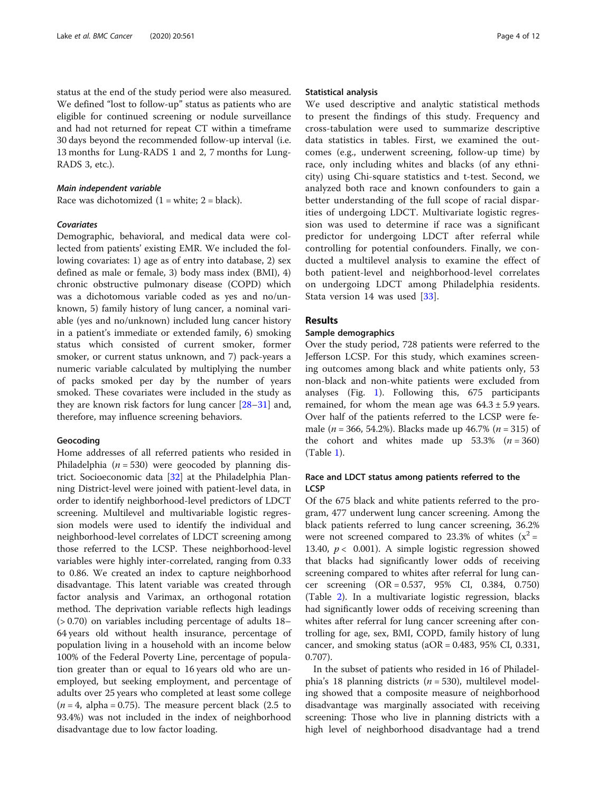status at the end of the study period were also measured. We defined "lost to follow-up" status as patients who are eligible for continued screening or nodule surveillance and had not returned for repeat CT within a timeframe 30 days beyond the recommended follow-up interval (i.e. 13 months for Lung-RADS 1 and 2, 7 months for Lung-RADS 3, etc.).

## Main independent variable

Race was dichotomized  $(1 = \text{white}; 2 = \text{black})$ .

## **Covariates**

Demographic, behavioral, and medical data were collected from patients' existing EMR. We included the following covariates: 1) age as of entry into database, 2) sex defined as male or female, 3) body mass index (BMI), 4) chronic obstructive pulmonary disease (COPD) which was a dichotomous variable coded as yes and no/unknown, 5) family history of lung cancer, a nominal variable (yes and no/unknown) included lung cancer history in a patient's immediate or extended family, 6) smoking status which consisted of current smoker, former smoker, or current status unknown, and 7) pack-years a numeric variable calculated by multiplying the number of packs smoked per day by the number of years smoked. These covariates were included in the study as they are known risk factors for lung cancer [\[28](#page-11-0)–[31](#page-11-0)] and, therefore, may influence screening behaviors.

## Geocoding

Home addresses of all referred patients who resided in Philadelphia ( $n = 530$ ) were geocoded by planning district. Socioeconomic data [[32\]](#page-11-0) at the Philadelphia Planning District-level were joined with patient-level data, in order to identify neighborhood-level predictors of LDCT screening. Multilevel and multivariable logistic regression models were used to identify the individual and neighborhood-level correlates of LDCT screening among those referred to the LCSP. These neighborhood-level variables were highly inter-correlated, ranging from 0.33 to 0.86. We created an index to capture neighborhood disadvantage. This latent variable was created through factor analysis and Varimax, an orthogonal rotation method. The deprivation variable reflects high leadings (> 0.70) on variables including percentage of adults 18– 64 years old without health insurance, percentage of population living in a household with an income below 100% of the Federal Poverty Line, percentage of population greater than or equal to 16 years old who are unemployed, but seeking employment, and percentage of adults over 25 years who completed at least some college  $(n = 4, \text{ alpha} = 0.75)$ . The measure percent black (2.5 to 93.4%) was not included in the index of neighborhood disadvantage due to low factor loading.

#### Statistical analysis

We used descriptive and analytic statistical methods to present the findings of this study. Frequency and cross-tabulation were used to summarize descriptive data statistics in tables. First, we examined the outcomes (e.g., underwent screening, follow-up time) by race, only including whites and blacks (of any ethnicity) using Chi-square statistics and t-test. Second, we analyzed both race and known confounders to gain a better understanding of the full scope of racial disparities of undergoing LDCT. Multivariate logistic regression was used to determine if race was a significant predictor for undergoing LDCT after referral while controlling for potential confounders. Finally, we conducted a multilevel analysis to examine the effect of both patient-level and neighborhood-level correlates on undergoing LDCT among Philadelphia residents. Stata version 14 was used [[33\]](#page-11-0).

## Results

## Sample demographics

Over the study period, 728 patients were referred to the Jefferson LCSP. For this study, which examines screening outcomes among black and white patients only, 53 non-black and non-white patients were excluded from analyses (Fig. [1](#page-2-0)). Following this, 675 participants remained, for whom the mean age was  $64.3 \pm 5.9$  years. Over half of the patients referred to the LCSP were female ( $n = 366, 54.2\%$ ). Blacks made up 46.7% ( $n = 315$ ) of the cohort and whites made up  $53.3\%$  ( $n = 360$ ) (Table [1\)](#page-4-0).

## Race and LDCT status among patients referred to the **LCSP**

Of the 675 black and white patients referred to the program, 477 underwent lung cancer screening. Among the black patients referred to lung cancer screening, 36.2% were not screened compared to 23.3% of whites  $(x^2 =$ 13.40,  $p < 0.001$ ). A simple logistic regression showed that blacks had significantly lower odds of receiving screening compared to whites after referral for lung cancer screening (OR = 0.537, 95% CI, 0.384, 0.750) (Table [2](#page-4-0)). In a multivariate logistic regression, blacks had significantly lower odds of receiving screening than whites after referral for lung cancer screening after controlling for age, sex, BMI, COPD, family history of lung cancer, and smoking status ( $aOR = 0.483$ , 95% CI, 0.331, 0.707).

In the subset of patients who resided in 16 of Philadelphia's 18 planning districts ( $n = 530$ ), multilevel modeling showed that a composite measure of neighborhood disadvantage was marginally associated with receiving screening: Those who live in planning districts with a high level of neighborhood disadvantage had a trend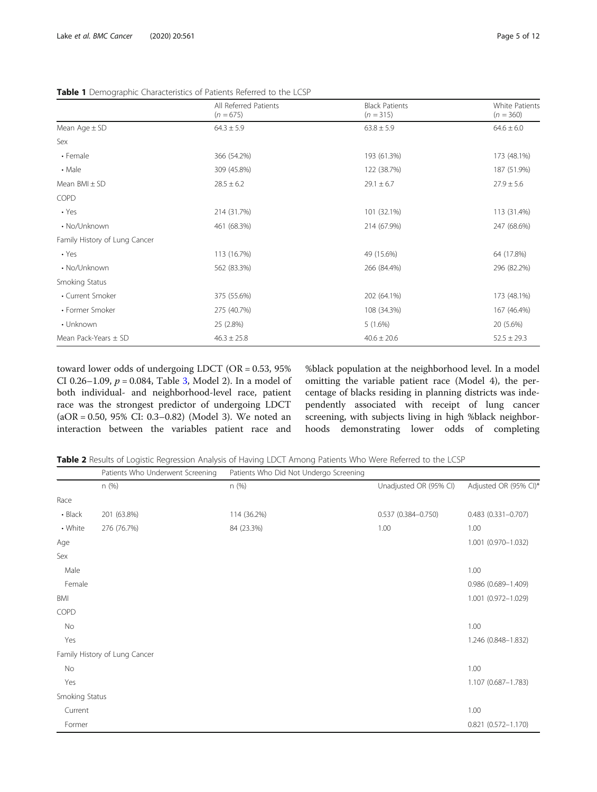|                               | All Referred Patients<br>$(n = 675)$ | <b>Black Patients</b><br>$(n = 315)$ | White Patients<br>$(n = 360)$ |
|-------------------------------|--------------------------------------|--------------------------------------|-------------------------------|
| Mean Age $\pm$ SD             | $64.3 \pm 5.9$                       | $63.8 \pm 5.9$                       | $64.6 \pm 6.0$                |
| Sex                           |                                      |                                      |                               |
| • Female                      | 366 (54.2%)                          | 193 (61.3%)                          | 173 (48.1%)                   |
| • Male                        | 309 (45.8%)                          | 122 (38.7%)                          | 187 (51.9%)                   |
| Mean $BMI \pm SD$             | $28.5 \pm 6.2$                       | $29.1 \pm 6.7$                       | $27.9 \pm 5.6$                |
| COPD                          |                                      |                                      |                               |
| $\cdot$ Yes                   | 214 (31.7%)                          | 101 (32.1%)                          | 113 (31.4%)                   |
| • No/Unknown                  | 461 (68.3%)                          | 214 (67.9%)                          | 247 (68.6%)                   |
| Family History of Lung Cancer |                                      |                                      |                               |
| $\cdot$ Yes                   | 113 (16.7%)                          | 49 (15.6%)                           | 64 (17.8%)                    |
| • No/Unknown                  | 562 (83.3%)                          | 266 (84.4%)                          | 296 (82.2%)                   |
| Smoking Status                |                                      |                                      |                               |
| • Current Smoker              | 375 (55.6%)                          | 202 (64.1%)                          | 173 (48.1%)                   |
| • Former Smoker               | 275 (40.7%)                          | 108 (34.3%)                          | 167 (46.4%)                   |
| • Unknown                     | 25 (2.8%)                            | $5(1.6\%)$                           | 20 (5.6%)                     |
| Mean Pack-Years $\pm$ SD      | $46.3 \pm 25.8$                      | $40.6 \pm 20.6$                      | $52.5 \pm 29.3$               |

<span id="page-4-0"></span>Table 1 Demographic Characteristics of Patients Referred to the LCSP

toward lower odds of undergoing LDCT (OR = 0.53, 95% CI 0.26–1.09,  $p = 0.084$ , Table [3](#page-5-0), Model 2). In a model of both individual- and neighborhood-level race, patient race was the strongest predictor of undergoing LDCT (aOR = 0.50, 95% CI: 0.3–0.82) (Model 3). We noted an interaction between the variables patient race and

%black population at the neighborhood level. In a model omitting the variable patient race (Model 4), the percentage of blacks residing in planning districts was independently associated with receipt of lung cancer screening, with subjects living in high %black neighborhoods demonstrating lower odds of completing

Table 2 Results of Logistic Regression Analysis of Having LDCT Among Patients Who Were Referred to the LCSP

|                | Patients Who Underwent Screening | Patients Who Did Not Undergo Screening |                        |                        |
|----------------|----------------------------------|----------------------------------------|------------------------|------------------------|
|                | n (%)                            | n (%)                                  | Unadjusted OR (95% CI) | Adjusted OR (95% CI)*  |
| Race           |                                  |                                        |                        |                        |
| • Black        | 201 (63.8%)                      | 114 (36.2%)                            | $0.537(0.384 - 0.750)$ | $0.483(0.331 - 0.707)$ |
| • White        | 276 (76.7%)                      | 84 (23.3%)                             | 1.00                   | 1.00                   |
| Age            |                                  |                                        |                        | 1.001 (0.970-1.032)    |
| Sex            |                                  |                                        |                        |                        |
| Male           |                                  |                                        |                        | 1.00                   |
| Female         |                                  |                                        |                        | 0.986 (0.689-1.409)    |
| BMI            |                                  |                                        |                        | 1.001 (0.972-1.029)    |
| COPD           |                                  |                                        |                        |                        |
| No             |                                  |                                        |                        | 1.00                   |
| Yes            |                                  |                                        |                        | 1.246 (0.848-1.832)    |
|                | Family History of Lung Cancer    |                                        |                        |                        |
| No             |                                  |                                        |                        | 1.00                   |
| Yes            |                                  |                                        |                        | 1.107 (0.687-1.783)    |
| Smoking Status |                                  |                                        |                        |                        |
| Current        |                                  |                                        |                        | 1.00                   |
| Former         |                                  |                                        |                        | $0.821(0.572 - 1.170)$ |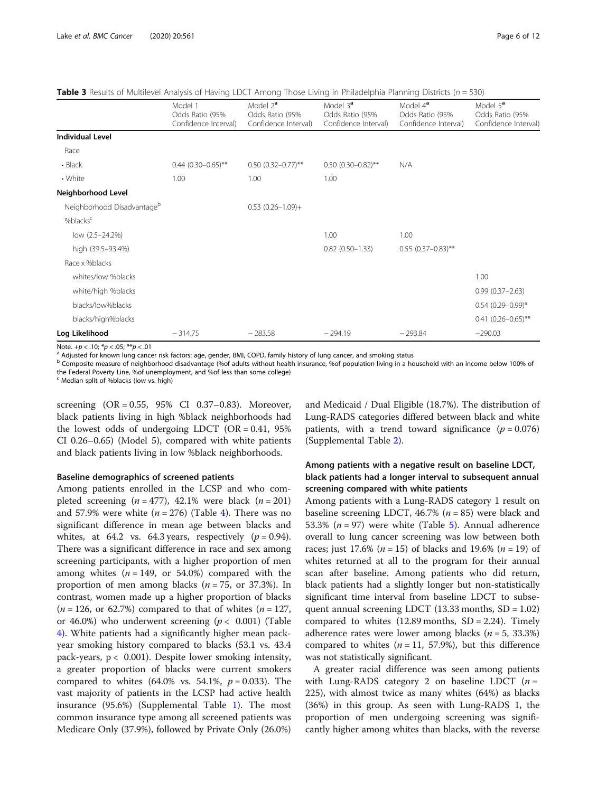<span id="page-5-0"></span>**Table 3** Results of Multilevel Analysis of Having LDCT Among Those Living in Philadelphia Planning Districts ( $n = 530$ )

|                                        | Model 1<br>Odds Ratio (95%<br>Confidence Interval) | Model 2 <sup>a</sup><br>Odds Ratio (95%<br>Confidence Interval) | Model 3 <sup>a</sup><br>Odds Ratio (95%<br>Confidence Interval) | Model 4 <sup>a</sup><br>Odds Ratio (95%<br>Confidence Interval) | Model 5 <sup>a</sup><br>Odds Ratio (95%<br>Confidence Interval) |
|----------------------------------------|----------------------------------------------------|-----------------------------------------------------------------|-----------------------------------------------------------------|-----------------------------------------------------------------|-----------------------------------------------------------------|
| <b>Individual Level</b>                |                                                    |                                                                 |                                                                 |                                                                 |                                                                 |
| Race                                   |                                                    |                                                                 |                                                                 |                                                                 |                                                                 |
| • Black                                | $0.44$ (0.30-0.65)**                               | $0.50(0.32 - 0.77)$ **                                          | $0.50(0.30-0.82)$ **                                            | N/A                                                             |                                                                 |
| • White                                | 1.00                                               | 1.00                                                            | 1.00                                                            |                                                                 |                                                                 |
| Neighborhood Level                     |                                                    |                                                                 |                                                                 |                                                                 |                                                                 |
| Neighborhood Disadvantage <sup>b</sup> |                                                    | $0.53$ $(0.26 - 1.09) +$                                        |                                                                 |                                                                 |                                                                 |
| %blacks <sup>c</sup>                   |                                                    |                                                                 |                                                                 |                                                                 |                                                                 |
| low (2.5-24.2%)                        |                                                    |                                                                 | 1.00                                                            | 1.00                                                            |                                                                 |
| high (39.5-93.4%)                      |                                                    |                                                                 | $0.82$ $(0.50 - 1.33)$                                          | $0.55$ (0.37-0.83)**                                            |                                                                 |
| Race x %blacks                         |                                                    |                                                                 |                                                                 |                                                                 |                                                                 |
| whites/low %blacks                     |                                                    |                                                                 |                                                                 |                                                                 | 1.00                                                            |
| white/high %blacks                     |                                                    |                                                                 |                                                                 |                                                                 | $0.99(0.37 - 2.63)$                                             |
| blacks/low%blacks                      |                                                    |                                                                 |                                                                 |                                                                 | $0.54$ (0.29-0.99)*                                             |
| blacks/high%blacks                     |                                                    |                                                                 |                                                                 |                                                                 | $0.41(0.26 - 0.65)$ **                                          |
| Log Likelihood                         | $-314.75$                                          | $-283.58$                                                       | $-294.19$                                                       | $-293.84$                                                       | $-290.03$                                                       |

Note. +p < .10; \*p < .05; \*\*p < .01<br><sup>a</sup> Adjusted for known lung cancer risk factors: age, gender, BMI, COPD, family history of lung cancer, and smoking status

b Composite measure of neighborhood disadvantage (%of adults without health insurance, %of population living in a household with an income below 100% of the Federal Poverty Line, %of unemployment, and %of less than some college)

<sup>c</sup> Median split of %blacks (low vs. high)

screening (OR = 0.55, 95% CI 0.37–0.83). Moreover, black patients living in high %black neighborhoods had the lowest odds of undergoing LDCT (OR = 0.41, 95% CI 0.26–0.65) (Model 5), compared with white patients and black patients living in low %black neighborhoods.

## Baseline demographics of screened patients

Among patients enrolled in the LCSP and who completed screening  $(n = 477)$ , 42.1% were black  $(n = 201)$ and 57.9% were white  $(n = 276)$  (Table [4\)](#page-6-0). There was no significant difference in mean age between blacks and whites, at 64.2 vs. 64.3 years, respectively  $(p = 0.94)$ . There was a significant difference in race and sex among screening participants, with a higher proportion of men among whites  $(n = 149, \text{ or } 54.0\%)$  compared with the proportion of men among blacks ( $n = 75$ , or 37.3%). In contrast, women made up a higher proportion of blacks  $(n = 126, \text{ or } 62.7\%)$  compared to that of whites  $(n = 127, \text{ } 127)$ or 46.0%) who underwent screening ( $p < 0.001$ ) (Table [4\)](#page-6-0). White patients had a significantly higher mean packyear smoking history compared to blacks (53.1 vs. 43.4 pack-years,  $p < 0.001$ ). Despite lower smoking intensity, a greater proportion of blacks were current smokers compared to whites (64.0% vs. 54.1%,  $p = 0.033$ ). The vast majority of patients in the LCSP had active health insurance (95.6%) (Supplemental Table [1\)](#page-4-0). The most common insurance type among all screened patients was Medicare Only (37.9%), followed by Private Only (26.0%) and Medicaid / Dual Eligible (18.7%). The distribution of Lung-RADS categories differed between black and white patients, with a trend toward significance  $(p = 0.076)$ (Supplemental Table [2\)](#page-4-0).

## Among patients with a negative result on baseline LDCT, black patients had a longer interval to subsequent annual screening compared with white patients

Among patients with a Lung-RADS category 1 result on baseline screening LDCT, 46.7% ( $n = 85$ ) were black and [5](#page-6-0)3.3% ( $n = 97$ ) were white (Table 5). Annual adherence overall to lung cancer screening was low between both races; just 17.6% ( $n = 15$ ) of blacks and 19.6% ( $n = 19$ ) of whites returned at all to the program for their annual scan after baseline. Among patients who did return, black patients had a slightly longer but non-statistically significant time interval from baseline LDCT to subsequent annual screening LDCT  $(13.33 \text{ months}, SD = 1.02)$ compared to whites  $(12.89 \text{ months}, SD = 2.24)$ . Timely adherence rates were lower among blacks ( $n = 5$ , 33.3%) compared to whites ( $n = 11, 57.9%$ ), but this difference was not statistically significant.

A greater racial difference was seen among patients with Lung-RADS category 2 on baseline LDCT  $(n =$ 225), with almost twice as many whites (64%) as blacks (36%) in this group. As seen with Lung-RADS 1, the proportion of men undergoing screening was significantly higher among whites than blacks, with the reverse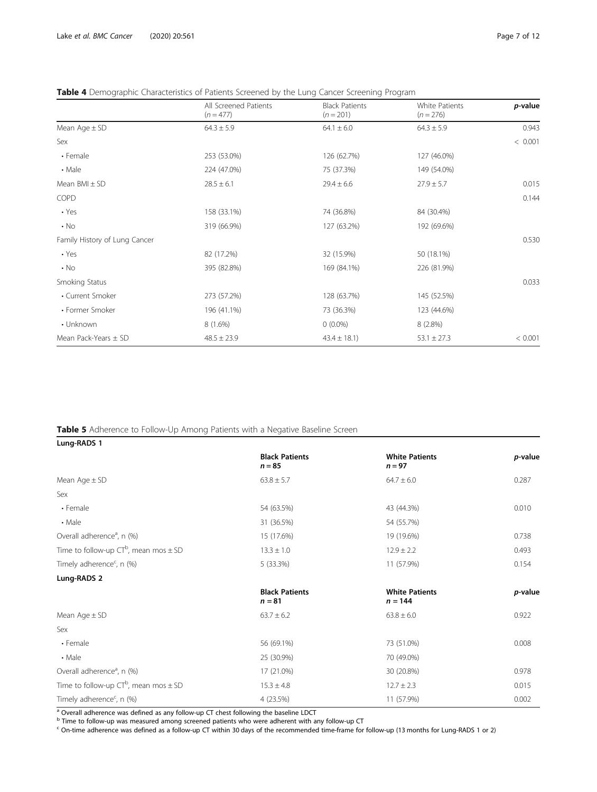## <span id="page-6-0"></span>Table 4 Demographic Characteristics of Patients Screened by the Lung Cancer Screening Program

|                               | All Screened Patients | <b>Black Patients</b> | <b>White Patients</b> | p-value |
|-------------------------------|-----------------------|-----------------------|-----------------------|---------|
|                               | $(n = 477)$           | $(n = 201)$           | $(n = 276)$           |         |
| Mean $Age \pm SD$             | $64.3 \pm 5.9$        | $64.1 \pm 6.0$        | $64.3 \pm 5.9$        | 0.943   |
| Sex                           |                       |                       |                       | < 0.001 |
| • Female                      | 253 (53.0%)           | 126 (62.7%)           | 127 (46.0%)           |         |
| • Male                        | 224 (47.0%)           | 75 (37.3%)            | 149 (54.0%)           |         |
| Mean $BMI \pm SD$             | $28.5 \pm 6.1$        | $29.4 \pm 6.6$        | $27.9 \pm 5.7$        | 0.015   |
| <b>COPD</b>                   |                       |                       |                       | 0.144   |
| $\cdot$ Yes                   | 158 (33.1%)           | 74 (36.8%)            | 84 (30.4%)            |         |
| $\cdot$ No                    | 319 (66.9%)           | 127 (63.2%)           | 192 (69.6%)           |         |
| Family History of Lung Cancer |                       |                       |                       | 0.530   |
| $\cdot$ Yes                   | 82 (17.2%)            | 32 (15.9%)            | 50 (18.1%)            |         |
| $\cdot$ No                    | 395 (82.8%)           | 169 (84.1%)           | 226 (81.9%)           |         |
| Smoking Status                |                       |                       |                       | 0.033   |
| • Current Smoker              | 273 (57.2%)           | 128 (63.7%)           | 145 (52.5%)           |         |
| • Former Smoker               | 196 (41.1%)           | 73 (36.3%)            | 123 (44.6%)           |         |
| • Unknown                     | 8 (1.6%)              | $0(0.0\%)$            | $8(2.8\%)$            |         |
| Mean Pack-Years $\pm$ SD      | $48.5 \pm 23.9$       | $43.4 \pm 18.1$ )     | $53.1 \pm 27.3$       | < 0.001 |

## Table 5 Adherence to Follow-Up Among Patients with a Negative Baseline Screen

| Lung-RADS 1                                  |                                   |                                    |         |
|----------------------------------------------|-----------------------------------|------------------------------------|---------|
|                                              | <b>Black Patients</b><br>$n = 85$ | <b>White Patients</b><br>$n = 97$  | p-value |
| Mean Age $\pm$ SD                            | $63.8 \pm 5.7$                    | $64.7 \pm 6.0$                     | 0.287   |
| Sex                                          |                                   |                                    |         |
| • Female                                     | 54 (63.5%)                        | 43 (44.3%)                         | 0.010   |
| $\cdot$ Male                                 | 31 (36.5%)                        | 54 (55.7%)                         |         |
| Overall adherence <sup>a</sup> , n (%)       | 15 (17.6%)                        | 19 (19.6%)                         | 0.738   |
| Time to follow-up $CT^b$ , mean mos $\pm$ SD | $13.3 \pm 1.0$                    | $12.9 \pm 2.2$                     | 0.493   |
| Timely adherence <sup>c</sup> , n (%)        | 5 (33.3%)                         | 11 (57.9%)                         | 0.154   |
| Lung-RADS 2                                  |                                   |                                    |         |
|                                              | <b>Black Patients</b><br>$n = 81$ | <b>White Patients</b><br>$n = 144$ | p-value |
| Mean Age $\pm$ SD                            | $63.7 \pm 6.2$                    | $63.8 \pm 6.0$                     | 0.922   |
| Sex                                          |                                   |                                    |         |
| • Female                                     | 56 (69.1%)                        | 73 (51.0%)                         | 0.008   |
| $\cdot$ Male                                 | 25 (30.9%)                        | 70 (49.0%)                         |         |
| Overall adherence <sup>a</sup> , n (%)       | 17 (21.0%)                        | 30 (20.8%)                         | 0.978   |
| Time to follow-up $CT^b$ , mean mos $\pm$ SD | $15.3 \pm 4.8$                    | $12.7 \pm 2.3$                     | 0.015   |
| Timely adherence <sup>c</sup> , n (%)        | 4 (23.5%)                         | 11 (57.9%)                         | 0.002   |

<sup>a</sup> Overall adherence was defined as any follow-up CT chest following the baseline LDCT

<sup>b</sup> Time to follow-up was measured among screened patients who were adherent with any follow-up CT

<sup>c</sup> On-time adherence was defined as a follow-up CT within 30 days of the recommended time-frame for follow-up (13 months for Lung-RADS 1 or 2)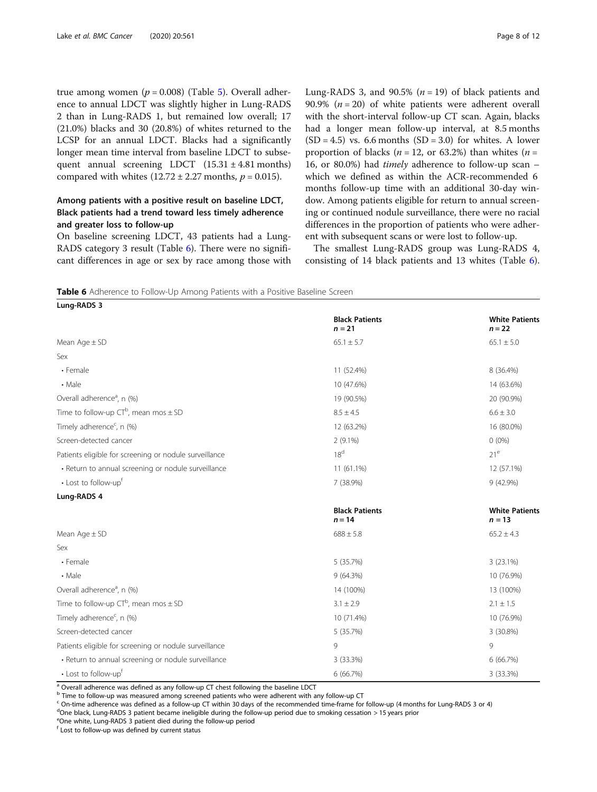true among women ( $p = 0.008$ ) (Table [5](#page-6-0)). Overall adherence to annual LDCT was slightly higher in Lung-RADS 2 than in Lung-RADS 1, but remained low overall; 17 (21.0%) blacks and 30 (20.8%) of whites returned to the LCSP for an annual LDCT. Blacks had a significantly longer mean time interval from baseline LDCT to subsequent annual screening LDCT  $(15.31 \pm 4.81 \text{ months})$ compared with whites  $(12.72 \pm 2.27 \text{ months}, p = 0.015)$ .

## Among patients with a positive result on baseline LDCT, Black patients had a trend toward less timely adherence and greater loss to follow-up

On baseline screening LDCT, 43 patients had a Lung-RADS category 3 result (Table 6). There were no significant differences in age or sex by race among those with Lung-RADS 3, and 90.5% ( $n = 19$ ) of black patients and 90.9% ( $n = 20$ ) of white patients were adherent overall with the short-interval follow-up CT scan. Again, blacks had a longer mean follow-up interval, at 8.5 months  $(SD = 4.5)$  vs. 6.6 months  $(SD = 3.0)$  for whites. A lower proportion of blacks ( $n = 12$ , or 63.2%) than whites ( $n =$ 16, or 80.0%) had timely adherence to follow-up scan – which we defined as within the ACR-recommended 6 months follow-up time with an additional 30-day window. Among patients eligible for return to annual screening or continued nodule surveillance, there were no racial differences in the proportion of patients who were adherent with subsequent scans or were lost to follow-up.

The smallest Lung-RADS group was Lung-RADS 4, consisting of 14 black patients and 13 whites (Table 6).

**Table 6** Adherence to Follow-Up Among Patients with a Positive Baseline Screen

| Lung-RADS 3                                            |                                   |                                   |
|--------------------------------------------------------|-----------------------------------|-----------------------------------|
|                                                        | <b>Black Patients</b><br>$n = 21$ | <b>White Patients</b><br>$n = 22$ |
| Mean $Age \pm SD$                                      | $65.1 \pm 5.7$                    | $65.1 \pm 5.0$                    |
| Sex                                                    |                                   |                                   |
| • Female                                               | 11 (52.4%)                        | 8 (36.4%)                         |
| • Male                                                 | 10 (47.6%)                        | 14 (63.6%)                        |
| Overall adherence <sup>a</sup> , n (%)                 | 19 (90.5%)                        | 20 (90.9%)                        |
| Time to follow-up $CT^b$ , mean mos $\pm$ SD           | $8.5 \pm 4.5$                     | $6.6 \pm 3.0$                     |
| Timely adherence <sup>c</sup> , n (%)                  | 12 (63.2%)                        | 16 (80.0%)                        |
| Screen-detected cancer                                 | $2(9.1\%)$                        | $0(0\%)$                          |
| Patients eligible for screening or nodule surveillance | 18 <sup>d</sup>                   | 21 <sup>e</sup>                   |
| · Return to annual screening or nodule surveillance    | 11 (61.1%)                        | 12 (57.1%)                        |
| • Lost to follow-upf                                   | 7 (38.9%)                         | 9 (42.9%)                         |
| Lung-RADS 4                                            |                                   |                                   |
|                                                        | <b>Black Patients</b><br>$n = 14$ | <b>White Patients</b><br>$n = 13$ |
| Mean $Age \pm SD$                                      | $688 \pm 5.8$                     | $65.2 \pm 4.3$                    |
| Sex                                                    |                                   |                                   |
| • Female                                               | 5 (35.7%)                         | $3(23.1\%)$                       |
| • Male                                                 | 9(64.3%)                          | 10 (76.9%)                        |
| Overall adherence <sup>a</sup> , n (%)                 | 14 (100%)                         | 13 (100%)                         |
| Time to follow-up $CT^b$ , mean mos $\pm$ SD           | $3.1 \pm 2.9$                     | $2.1 \pm 1.5$                     |
| Timely adherence <sup>c</sup> , n (%)                  | 10 (71.4%)                        | 10 (76.9%)                        |
| Screen-detected cancer                                 | 5 (35.7%)                         | 3 (30.8%)                         |
| Patients eligible for screening or nodule surveillance | 9                                 | 9                                 |
| · Return to annual screening or nodule surveillance    | 3 (33.3%)                         | 6(66.7%)                          |
| • Lost to follow-up <sup>†</sup>                       | 6 (66.7%)                         | 3 (33.3%)                         |

a Overall adherence was defined as any follow-up CT chest following the baseline LDCT

 $^{\rm b}$  Time to follow-up was measured among screened patients who were adherent with any follow-up CT

<sup>c</sup> On-time adherence was defined as a follow-up CT within 30 days of the recommended time-frame for follow-up (4 months for Lung-RADS 3 or 4)

<sup>d</sup>One black, Lung-RADS 3 patient became ineligible during the follow-up period due to smoking cessation > 15 years prior

e One white, Lung-RADS 3 patient died during the follow-up period

<sup>f</sup> Lost to follow-up was defined by current status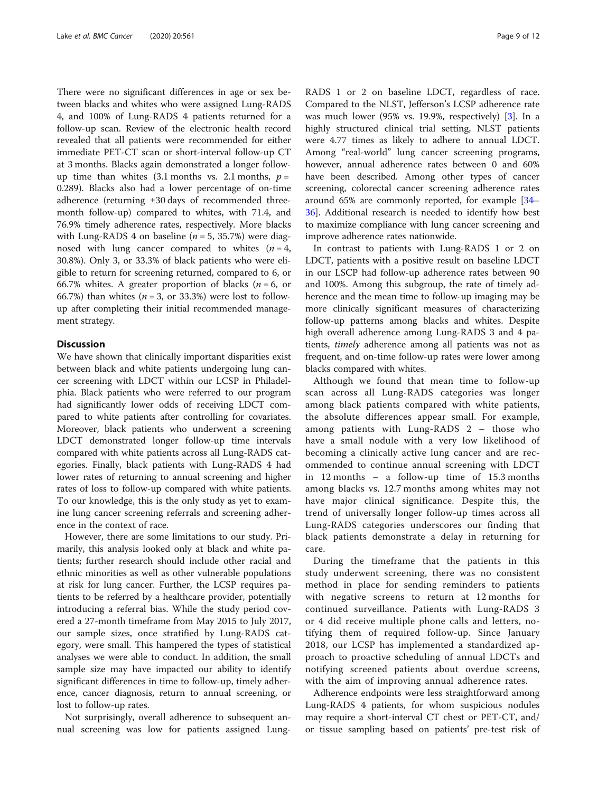There were no significant differences in age or sex between blacks and whites who were assigned Lung-RADS 4, and 100% of Lung-RADS 4 patients returned for a follow-up scan. Review of the electronic health record revealed that all patients were recommended for either immediate PET-CT scan or short-interval follow-up CT at 3 months. Blacks again demonstrated a longer followup time than whites  $(3.1 \text{ months} \text{ vs. } 2.1 \text{ months}, p =$ 0.289). Blacks also had a lower percentage of on-time adherence (returning ±30 days of recommended threemonth follow-up) compared to whites, with 71.4, and 76.9% timely adherence rates, respectively. More blacks with Lung-RADS 4 on baseline ( $n = 5$ , 35.7%) were diagnosed with lung cancer compared to whites  $(n = 4,$ 30.8%). Only 3, or 33.3% of black patients who were eligible to return for screening returned, compared to 6, or 66.7% whites. A greater proportion of blacks ( $n = 6$ , or 66.7%) than whites ( $n = 3$ , or 33.3%) were lost to followup after completing their initial recommended management strategy.

## **Discussion**

We have shown that clinically important disparities exist between black and white patients undergoing lung cancer screening with LDCT within our LCSP in Philadelphia. Black patients who were referred to our program had significantly lower odds of receiving LDCT compared to white patients after controlling for covariates. Moreover, black patients who underwent a screening LDCT demonstrated longer follow-up time intervals compared with white patients across all Lung-RADS categories. Finally, black patients with Lung-RADS 4 had lower rates of returning to annual screening and higher rates of loss to follow-up compared with white patients. To our knowledge, this is the only study as yet to examine lung cancer screening referrals and screening adherence in the context of race.

However, there are some limitations to our study. Primarily, this analysis looked only at black and white patients; further research should include other racial and ethnic minorities as well as other vulnerable populations at risk for lung cancer. Further, the LCSP requires patients to be referred by a healthcare provider, potentially introducing a referral bias. While the study period covered a 27-month timeframe from May 2015 to July 2017, our sample sizes, once stratified by Lung-RADS category, were small. This hampered the types of statistical analyses we were able to conduct. In addition, the small sample size may have impacted our ability to identify significant differences in time to follow-up, timely adherence, cancer diagnosis, return to annual screening, or lost to follow-up rates.

Not surprisingly, overall adherence to subsequent annual screening was low for patients assigned LungRADS 1 or 2 on baseline LDCT, regardless of race. Compared to the NLST, Jefferson's LCSP adherence rate was much lower (95% vs. 19.9%, respectively) [\[3](#page-10-0)]. In a highly structured clinical trial setting, NLST patients were 4.77 times as likely to adhere to annual LDCT. Among "real-world" lung cancer screening programs, however, annual adherence rates between 0 and 60% have been described. Among other types of cancer screening, colorectal cancer screening adherence rates around 65% are commonly reported, for example [[34](#page-11-0)– [36\]](#page-11-0). Additional research is needed to identify how best to maximize compliance with lung cancer screening and improve adherence rates nationwide.

In contrast to patients with Lung-RADS 1 or 2 on LDCT, patients with a positive result on baseline LDCT in our LSCP had follow-up adherence rates between 90 and 100%. Among this subgroup, the rate of timely adherence and the mean time to follow-up imaging may be more clinically significant measures of characterizing follow-up patterns among blacks and whites. Despite high overall adherence among Lung-RADS 3 and 4 patients, timely adherence among all patients was not as frequent, and on-time follow-up rates were lower among blacks compared with whites.

Although we found that mean time to follow-up scan across all Lung-RADS categories was longer among black patients compared with white patients, the absolute differences appear small. For example, among patients with Lung-RADS 2 – those who have a small nodule with a very low likelihood of becoming a clinically active lung cancer and are recommended to continue annual screening with LDCT in 12 months – a follow-up time of 15.3 months among blacks vs. 12.7 months among whites may not have major clinical significance. Despite this, the trend of universally longer follow-up times across all Lung-RADS categories underscores our finding that black patients demonstrate a delay in returning for care.

During the timeframe that the patients in this study underwent screening, there was no consistent method in place for sending reminders to patients with negative screens to return at 12 months for continued surveillance. Patients with Lung-RADS 3 or 4 did receive multiple phone calls and letters, notifying them of required follow-up. Since January 2018, our LCSP has implemented a standardized approach to proactive scheduling of annual LDCTs and notifying screened patients about overdue screens, with the aim of improving annual adherence rates.

Adherence endpoints were less straightforward among Lung-RADS 4 patients, for whom suspicious nodules may require a short-interval CT chest or PET-CT, and/ or tissue sampling based on patients' pre-test risk of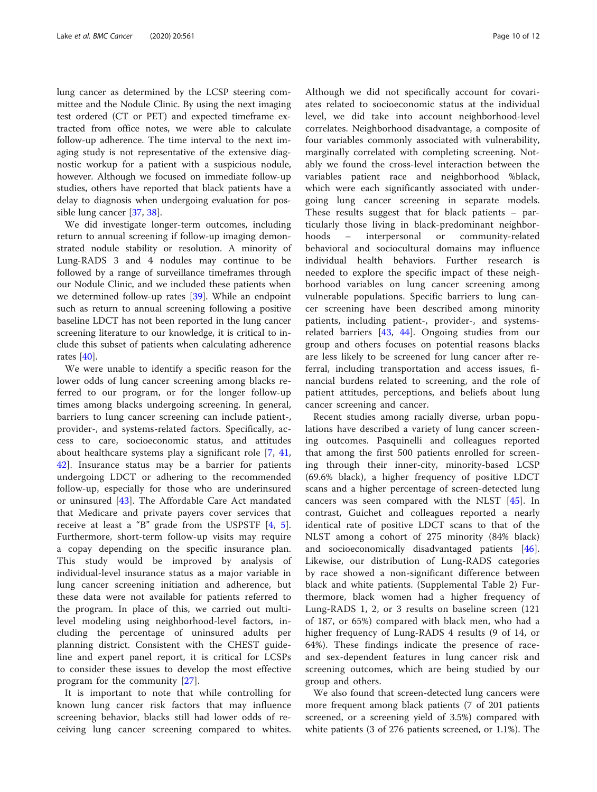lung cancer as determined by the LCSP steering committee and the Nodule Clinic. By using the next imaging test ordered (CT or PET) and expected timeframe extracted from office notes, we were able to calculate follow-up adherence. The time interval to the next imaging study is not representative of the extensive diagnostic workup for a patient with a suspicious nodule, however. Although we focused on immediate follow-up studies, others have reported that black patients have a delay to diagnosis when undergoing evaluation for possible lung cancer [[37,](#page-11-0) [38](#page-11-0)].

We did investigate longer-term outcomes, including return to annual screening if follow-up imaging demonstrated nodule stability or resolution. A minority of Lung-RADS 3 and 4 nodules may continue to be followed by a range of surveillance timeframes through our Nodule Clinic, and we included these patients when we determined follow-up rates [\[39](#page-11-0)]. While an endpoint such as return to annual screening following a positive baseline LDCT has not been reported in the lung cancer screening literature to our knowledge, it is critical to include this subset of patients when calculating adherence rates [\[40](#page-11-0)].

We were unable to identify a specific reason for the lower odds of lung cancer screening among blacks referred to our program, or for the longer follow-up times among blacks undergoing screening. In general, barriers to lung cancer screening can include patient-, provider-, and systems-related factors. Specifically, access to care, socioeconomic status, and attitudes about healthcare systems play a significant role [[7](#page-10-0), [41](#page-11-0), [42\]](#page-11-0). Insurance status may be a barrier for patients undergoing LDCT or adhering to the recommended follow-up, especially for those who are underinsured or uninsured [[43\]](#page-11-0). The Affordable Care Act mandated that Medicare and private payers cover services that receive at least a "B" grade from the USPSTF [[4](#page-10-0), [5](#page-10-0)]. Furthermore, short-term follow-up visits may require a copay depending on the specific insurance plan. This study would be improved by analysis of individual-level insurance status as a major variable in lung cancer screening initiation and adherence, but these data were not available for patients referred to the program. In place of this, we carried out multilevel modeling using neighborhood-level factors, including the percentage of uninsured adults per planning district. Consistent with the CHEST guideline and expert panel report, it is critical for LCSPs to consider these issues to develop the most effective program for the community [[27\]](#page-11-0).

It is important to note that while controlling for known lung cancer risk factors that may influence screening behavior, blacks still had lower odds of receiving lung cancer screening compared to whites.

Although we did not specifically account for covariates related to socioeconomic status at the individual level, we did take into account neighborhood-level correlates. Neighborhood disadvantage, a composite of four variables commonly associated with vulnerability, marginally correlated with completing screening. Notably we found the cross-level interaction between the variables patient race and neighborhood %black, which were each significantly associated with undergoing lung cancer screening in separate models. These results suggest that for black patients – particularly those living in black-predominant neighborhoods – interpersonal or community-related behavioral and sociocultural domains may influence individual health behaviors. Further research is needed to explore the specific impact of these neighborhood variables on lung cancer screening among vulnerable populations. Specific barriers to lung cancer screening have been described among minority patients, including patient-, provider-, and systemsrelated barriers [[43,](#page-11-0) [44](#page-11-0)]. Ongoing studies from our group and others focuses on potential reasons blacks are less likely to be screened for lung cancer after referral, including transportation and access issues, financial burdens related to screening, and the role of patient attitudes, perceptions, and beliefs about lung cancer screening and cancer.

Recent studies among racially diverse, urban populations have described a variety of lung cancer screening outcomes. Pasquinelli and colleagues reported that among the first 500 patients enrolled for screening through their inner-city, minority-based LCSP (69.6% black), a higher frequency of positive LDCT scans and a higher percentage of screen-detected lung cancers was seen compared with the NLST [[45\]](#page-11-0). In contrast, Guichet and colleagues reported a nearly identical rate of positive LDCT scans to that of the NLST among a cohort of 275 minority (84% black) and socioeconomically disadvantaged patients [\[46](#page-11-0)]. Likewise, our distribution of Lung-RADS categories by race showed a non-significant difference between black and white patients. (Supplemental Table 2) Furthermore, black women had a higher frequency of Lung-RADS 1, 2, or 3 results on baseline screen (121 of 187, or 65%) compared with black men, who had a higher frequency of Lung-RADS 4 results (9 of 14, or 64%). These findings indicate the presence of raceand sex-dependent features in lung cancer risk and screening outcomes, which are being studied by our group and others.

We also found that screen-detected lung cancers were more frequent among black patients (7 of 201 patients screened, or a screening yield of 3.5%) compared with white patients (3 of 276 patients screened, or 1.1%). The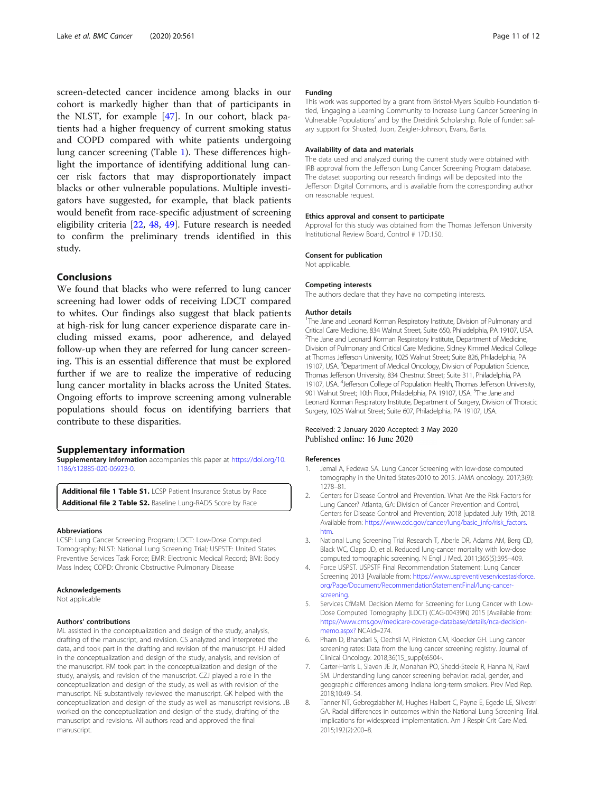<span id="page-10-0"></span>screen-detected cancer incidence among blacks in our cohort is markedly higher than that of participants in the NLST, for example [[47](#page-11-0)]. In our cohort, black patients had a higher frequency of current smoking status and COPD compared with white patients undergoing lung cancer screening (Table [1\)](#page-4-0). These differences highlight the importance of identifying additional lung cancer risk factors that may disproportionately impact blacks or other vulnerable populations. Multiple investigators have suggested, for example, that black patients would benefit from race-specific adjustment of screening eligibility criteria [\[22,](#page-11-0) [48,](#page-11-0) [49](#page-11-0)]. Future research is needed to confirm the preliminary trends identified in this study.

## Conclusions

We found that blacks who were referred to lung cancer screening had lower odds of receiving LDCT compared to whites. Our findings also suggest that black patients at high-risk for lung cancer experience disparate care including missed exams, poor adherence, and delayed follow-up when they are referred for lung cancer screening. This is an essential difference that must be explored further if we are to realize the imperative of reducing lung cancer mortality in blacks across the United States. Ongoing efforts to improve screening among vulnerable populations should focus on identifying barriers that contribute to these disparities.

#### Supplementary information

Supplementary information accompanies this paper at [https://doi.org/10.](https://doi.org/10.1186/s12885-020-06923-0) [1186/s12885-020-06923-0](https://doi.org/10.1186/s12885-020-06923-0).

Additional file 1 Table S1. LCSP Patient Insurance Status by Race Additional file 2 Table S2. Baseline Lung-RADS Score by Race

#### Abbreviations

LCSP: Lung Cancer Screening Program; LDCT: Low-Dose Computed Tomography; NLST: National Lung Screening Trial; USPSTF: United States Preventive Services Task Force; EMR: Electronic Medical Record; BMI: Body Mass Index; COPD: Chronic Obstructive Pulmonary Disease

#### Acknowledgements

Not applicable

#### Authors' contributions

ML assisted in the conceptualization and design of the study, analysis, drafting of the manuscript, and revision. CS analyzed and interpreted the data, and took part in the drafting and revision of the manuscript. HJ aided in the conceptualization and design of the study, analysis, and revision of the manuscript. RM took part in the conceptualization and design of the study, analysis, and revision of the manuscript. CZJ played a role in the conceptualization and design of the study, as well as with revision of the manuscript. NE substantively reviewed the manuscript. GK helped with the conceptualization and design of the study as well as manuscript revisions. JB worked on the conceptualization and design of the study, drafting of the manuscript and revisions. All authors read and approved the final manuscript.

#### Funding

This work was supported by a grant from Bristol-Myers Squibb Foundation titled, 'Engaging a Learning Community to Increase Lung Cancer Screening in Vulnerable Populations' and by the Dreidink Scholarship. Role of funder: salary support for Shusted, Juon, Zeigler-Johnson, Evans, Barta.

#### Availability of data and materials

The data used and analyzed during the current study were obtained with IRB approval from the Jefferson Lung Cancer Screening Program database. The dataset supporting our research findings will be deposited into the Jefferson Digital Commons, and is available from the corresponding author on reasonable request.

#### Ethics approval and consent to participate

Approval for this study was obtained from the Thomas Jefferson University Institutional Review Board, Control # 17D.150.

#### Consent for publication

Not applicable.

#### Competing interests

The authors declare that they have no competing interests.

#### Author details

<sup>1</sup>The Jane and Leonard Korman Respiratory Institute, Division of Pulmonary and Critical Care Medicine, 834 Walnut Street, Suite 650, Philadelphia, PA 19107, USA. <sup>2</sup>The Jane and Leonard Korman Respiratory Institute, Department of Medicine, Division of Pulmonary and Critical Care Medicine, Sidney Kimmel Medical College at Thomas Jefferson University, 1025 Walnut Street; Suite 826, Philadelphia, PA 19107, USA. <sup>3</sup>Department of Medical Oncology, Division of Population Science Thomas Jefferson University, 834 Chestnut Street; Suite 311, Philadelphia, PA 19107, USA. <sup>4</sup>Jefferson College of Population Health, Thomas Jefferson University 901 Walnut Street; 10th Floor, Philadelphia, PA 19107, USA. <sup>5</sup>The Jane and Leonard Korman Respiratory Institute, Department of Surgery, Division of Thoracic Surgery, 1025 Walnut Street; Suite 607, Philadelphia, PA 19107, USA.

## Received: 2 January 2020 Accepted: 3 May 2020 Published online: 16 June 2020

#### References

- 1. Jemal A, Fedewa SA. Lung Cancer Screening with low-dose computed tomography in the United States-2010 to 2015. JAMA oncology. 2017;3(9): 1278–81.
- 2. Centers for Disease Control and Prevention. What Are the Risk Factors for Lung Cancer? Atlanta, GA: Division of Cancer Prevention and Control, Centers for Disease Control and Prevention; 2018 [updated July 19th, 2018. Available from: [https://www.cdc.gov/cancer/lung/basic\\_info/risk\\_factors.](https://www.cdc.gov/cancer/lung/basic_info/risk_factors.htm) [htm](https://www.cdc.gov/cancer/lung/basic_info/risk_factors.htm).
- 3. National Lung Screening Trial Research T, Aberle DR, Adams AM, Berg CD, Black WC, Clapp JD, et al. Reduced lung-cancer mortality with low-dose computed tomographic screening. N Engl J Med. 2011;365(5):395–409.
- 4. Force USPST. USPSTF Final Recommendation Statement: Lung Cancer Screening 2013 [Available from: [https://www.uspreventiveservicestaskforce.](https://www.uspreventiveservicestaskforce.org/Page/Document/RecommendationStatementFinal/lung-cancer-screening) [org/Page/Document/RecommendationStatementFinal/lung-cancer](https://www.uspreventiveservicestaskforce.org/Page/Document/RecommendationStatementFinal/lung-cancer-screening)[screening](https://www.uspreventiveservicestaskforce.org/Page/Document/RecommendationStatementFinal/lung-cancer-screening).
- 5. Services CfMaM. Decision Memo for Screening for Lung Cancer with Low-Dose Computed Tomography (LDCT) (CAG-00439N) 2015 [Available from: [https://www.cms.gov/medicare-coverage-database/details/nca-decision](https://www.cms.gov/medicare-coverage-database/details/nca-decision-memo.aspx?)[memo.aspx?](https://www.cms.gov/medicare-coverage-database/details/nca-decision-memo.aspx?) NCAId=274.
- 6. Pham D, Bhandari S, Oechsli M, Pinkston CM, Kloecker GH. Lung cancer screening rates: Data from the lung cancer screening registry. Journal of Clinical Oncology. 2018;36(15\_suppl):6504-.
- 7. Carter-Harris L, Slaven JE Jr, Monahan PO, Shedd-Steele R, Hanna N, Rawl SM. Understanding lung cancer screening behavior: racial, gender, and geographic differences among Indiana long-term smokers. Prev Med Rep. 2018;10:49–54.
- 8. Tanner NT, Gebregziabher M, Hughes Halbert C, Payne E, Egede LE, Silvestri GA. Racial differences in outcomes within the National Lung Screening Trial. Implications for widespread implementation. Am J Respir Crit Care Med. 2015;192(2):200–8.